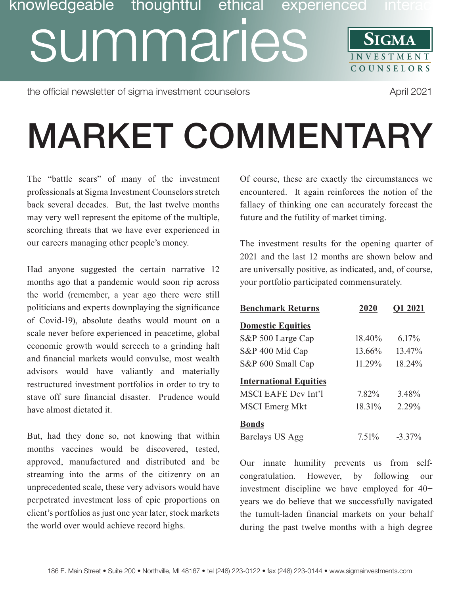## knowledgeable thoughtful ethical experienced inte summaries **SIGMA INVESTMENT COUNSE L O R S**

the official newsletter of sigma investment counselors and approximate the official newsletter of sigma investment counselors

## MARKET COMMENTARY

The "battle scars" of many of the investment professionals at Sigma Investment Counselors stretch back several decades. But, the last twelve months may very well represent the epitome of the multiple, scorching threats that we have ever experienced in our careers managing other people's money.

Had anyone suggested the certain narrative 12 months ago that a pandemic would soon rip across the world (remember, a year ago there were still politicians and experts downplaying the significance of Covid-19), absolute deaths would mount on a scale never before experienced in peacetime, global economic growth would screech to a grinding halt and financial markets would convulse, most wealth advisors would have valiantly and materially restructured investment portfolios in order to try to stave off sure financial disaster. Prudence would have almost dictated it.

But, had they done so, not knowing that within months vaccines would be discovered, tested, approved, manufactured and distributed and be streaming into the arms of the citizenry on an unprecedented scale, these very advisors would have perpetrated investment loss of epic proportions on client's portfolios as just one year later, stock markets the world over would achieve record highs.

Of course, these are exactly the circumstances we encountered. It again reinforces the notion of the fallacy of thinking one can accurately forecast the future and the futility of market timing.

The investment results for the opening quarter of 2021 and the last 12 months are shown below and are universally positive, as indicated, and, of course, your portfolio participated commensurately.

| <b>Benchmark Returns</b>      | 2020      | O1 2021   |
|-------------------------------|-----------|-----------|
| <b>Domestic Equities</b>      |           |           |
| S&P 500 Large Cap             | 18.40%    | $6.17\%$  |
| S&P 400 Mid Cap               | $13.66\%$ | 13.47%    |
| S&P 600 Small Cap             | 11.29%    | 18.24%    |
| <b>International Equities</b> |           |           |
| <b>MSCI EAFE Dev Int'l</b>    | 7.82%     | 3.48%     |
| <b>MSCI</b> Emerg Mkt         | $18.31\%$ | 2.29%     |
| <b>Bonds</b>                  |           |           |
| Barclays US Agg               | 7.51%     | $-3.37\%$ |

Our innate humility prevents us from selfcongratulation. However, by following our investment discipline we have employed for 40+ years we do believe that we successfully navigated the tumult-laden financial markets on your behalf during the past twelve months with a high degree